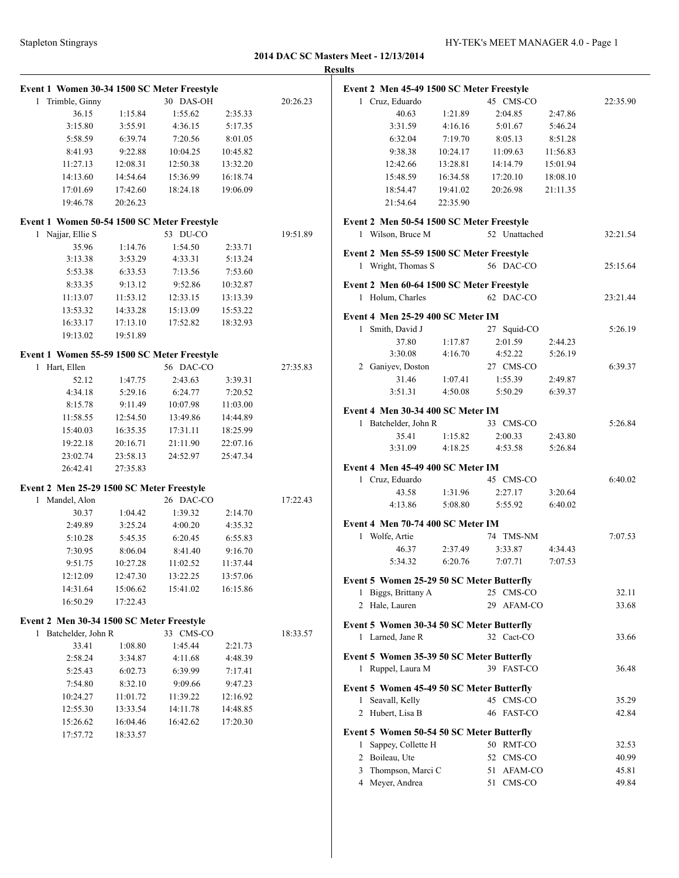|              | Event 1 Women 30-34 1500 SC Meter Freestyle |          |           |          |          |
|--------------|---------------------------------------------|----------|-----------|----------|----------|
| 1            | Trimble, Ginny                              |          | 30 DAS-OH |          | 20:26.23 |
|              | 36.15                                       | 1:15.84  | 1:55.62   | 2:35.33  |          |
|              | 3:15.80                                     | 3:55.91  | 4:36.15   | 5:17.35  |          |
|              | 5:58.59                                     | 6:39.74  | 7:20.56   | 8:01.05  |          |
|              | 8:41.93                                     | 9:22.88  | 10:04.25  | 10:45.82 |          |
|              | 11:27.13                                    | 12:08.31 | 12:50.38  | 13:32.20 |          |
|              | 14:13.60                                    | 14:54.64 | 15:36.99  | 16:18.74 |          |
|              | 17:01.69                                    | 17:42.60 | 18:24.18  | 19:06.09 |          |
|              | 19:46.78                                    | 20:26.23 |           |          |          |
|              | Event 1 Women 50-54 1500 SC Meter Freestyle |          |           |          |          |
| 1            | Najjar, Ellie S                             |          | 53 DU-CO  |          | 19:51.89 |
|              | 35.96                                       | 1:14.76  | 1:54.50   | 2:33.71  |          |
|              | 3:13.38                                     | 3:53.29  | 4:33.31   | 5:13.24  |          |
|              | 5:53.38                                     | 6:33.53  | 7:13.56   | 7:53.60  |          |
|              | 8:33.35                                     | 9:13.12  | 9:52.86   | 10:32.87 |          |
|              | 11:13.07                                    | 11:53.12 | 12:33.15  | 13:13.39 |          |
|              | 13:53.32                                    | 14:33.28 | 15:13.09  | 15:53.22 |          |
|              | 16:33.17                                    | 17:13.10 | 17:52.82  | 18:32.93 |          |
|              | 19:13.02                                    | 19:51.89 |           |          |          |
|              | Event 1 Women 55-59 1500 SC Meter Freestyle |          |           |          |          |
| 1            | Hart, Ellen                                 |          | 56 DAC-CO |          | 27:35.83 |
|              | 52.12                                       | 1:47.75  | 2:43.63   | 3:39.31  |          |
|              | 4:34.18                                     | 5:29.16  | 6:24.77   | 7:20.52  |          |
|              | 8:15.78                                     | 9:11.49  | 10:07.98  | 11:03.00 |          |
|              | 11:58.55                                    | 12:54.50 | 13:49.86  | 14:44.89 |          |
|              | 15:40.03                                    | 16:35.35 | 17:31.11  | 18:25.99 |          |
|              | 19:22.18                                    | 20:16.71 | 21:11.90  | 22:07.16 |          |
|              | 23:02.74                                    | 23:58.13 | 24:52.97  | 25:47.34 |          |
|              | 26:42.41                                    | 27:35.83 |           |          |          |
|              | Event 2 Men 25-29 1500 SC Meter Freestyle   |          |           |          |          |
| 1            | Mandel, Alon                                |          | 26 DAC-CO |          | 17:22.43 |
|              | 30.37                                       | 1:04.42  | 1:39.32   | 2:14.70  |          |
|              | 2:49.89                                     | 3:25.24  | 4:00.20   | 4:35.32  |          |
|              | 5:10.28                                     | 5:45.35  | 6:20.45   | 6:55.83  |          |
|              | 7:30.95                                     | 8:06.04  | 8:41.40   | 9:16.70  |          |
|              | 9:51.75                                     | 10:27.28 | 11:02.52  | 11:37.44 |          |
|              | 12:12.09                                    | 12:47.30 | 13:22.25  | 13:57.06 |          |
|              | 14:31.64                                    | 15:06.62 | 15:41.02  | 16:15.86 |          |
|              | 16:50.29                                    | 17:22.43 |           |          |          |
|              | Event 2 Men 30-34 1500 SC Meter Freestyle   |          |           |          |          |
| $\mathbf{1}$ | Batchelder, John R                          |          | 33 CMS-CO |          | 18:33.57 |
|              | 33.41                                       | 1:08.80  | 1:45.44   | 2:21.73  |          |
|              | 2:58.24                                     | 3:34.87  | 4:11.68   | 4:48.39  |          |
|              | 5:25.43                                     | 6:02.73  | 6:39.99   | 7:17.41  |          |
|              | 7:54.80                                     | 8:32.10  | 9:09.66   | 9:47.23  |          |
|              | 10:24.27                                    | 11:01.72 | 11:39.22  | 12:16.92 |          |
|              | 12:55.30                                    | 13:33.54 | 14:11.78  | 14:48.85 |          |
|              | 15:26.62                                    | 16:04.46 | 16:42.62  | 17:20.30 |          |
|              | 17:57.72                                    | 18:33.57 |           |          |          |

| <b>Results</b>                            |                     |                         |                    |          |
|-------------------------------------------|---------------------|-------------------------|--------------------|----------|
| Event 2 Men 45-49 1500 SC Meter Freestyle |                     |                         |                    |          |
| 1 Cruz, Eduardo                           |                     | 45 CMS-CO               |                    | 22:35.90 |
| 40.63                                     | 1:21.89             | 2:04.85                 | 2:47.86            |          |
| 3:31.59                                   | 4:16.16             | 5:01.67                 | 5:46.24            |          |
| 6:32.04                                   | 7:19.70             | 8:05.13                 | 8:51.28            |          |
| 9:38.38                                   | 10:24.17            | 11:09.63                | 11:56.83           |          |
| 12:42.66                                  | 13:28.81            | 14:14.79                | 15:01.94           |          |
| 15:48.59                                  | 16:34.58            | 17:20.10                | 18:08.10           |          |
| 18:54.47                                  | 19:41.02            | 20:26.98 21:11.35       |                    |          |
| 21:54.64                                  | 22:35.90            |                         |                    |          |
| Event 2 Men 50-54 1500 SC Meter Freestyle |                     |                         |                    |          |
| 1 Wilson, Bruce M                         |                     | 52 Unattached           |                    | 32:21.54 |
| Event 2 Men 55-59 1500 SC Meter Freestyle |                     |                         |                    |          |
| 1 Wright, Thomas S                        |                     | 56 DAC-CO               |                    | 25:15.64 |
| Event 2 Men 60-64 1500 SC Meter Freestyle |                     |                         |                    |          |
| 1 Holum, Charles                          |                     | 62 DAC-CO               |                    | 23:21.44 |
| Event 4 Men 25-29 400 SC Meter IM         |                     |                         |                    |          |
| 1 Smith, David J                          |                     | 27 Squid-CO             |                    | 5:26.19  |
| 37.80                                     | 1:17.87             | 2:01.59                 | 2:44.23            |          |
| 3:30.08                                   | 4:16.70             | 4:52.22                 | 5:26.19            |          |
| 2 Ganiyev, Doston                         |                     | 27 CMS-CO               |                    | 6:39.37  |
| 31.46                                     | 1:07.41             | 1:55.39                 | 2:49.87            |          |
|                                           | $3:51.31$ $4:50.08$ | 5:50.29                 | 6:39.37            |          |
|                                           |                     |                         |                    |          |
| Event 4 Men 30-34 400 SC Meter IM         |                     |                         |                    |          |
| 1 Batchelder, John R                      |                     | 33 CMS-CO               |                    | 5:26.84  |
| 35.41<br>3:31.09                          | 1:15.82<br>4:18.25  | 2:00.33<br>4:53.58      | 2:43.80<br>5:26.84 |          |
|                                           |                     |                         |                    |          |
| Event 4 Men 45-49 400 SC Meter IM         |                     |                         |                    |          |
| 1 Cruz, Eduardo                           |                     | 45 CMS-CO               |                    | 6:40.02  |
| 43.58                                     | 1:31.96             | 2:27.17                 | 3:20.64            |          |
| 4:13.86                                   | 5:08.80             | 5:55.92                 | 6:40.02            |          |
| Event 4 Men 70-74 400 SC Meter IM         |                     |                         |                    |          |
| 1 Wolfe, Artie                            |                     | 74 TMS-NM               |                    | 7:07.53  |
| 46.37                                     | 2:37.49             | 3:33.87                 | 4:34.43            |          |
|                                           |                     | 5:34.32 6:20.76 7:07.71 | 7:07.53            |          |
| Event 5 Women 25-29 50 SC Meter Butterfly |                     |                         |                    |          |
| 1 Biggs, Brittany A                       |                     | 25 CMS-CO               |                    | 32.11    |
| 2 Hale, Lauren                            |                     | 29 AFAM-CO              |                    | 33.68    |
| Event 5 Women 30-34 50 SC Meter Butterfly |                     |                         |                    |          |
| 1 Larned, Jane R                          |                     | 32 Cact-CO              |                    | 33.66    |
|                                           |                     |                         |                    |          |
| Event 5 Women 35-39 50 SC Meter Butterfly |                     |                         |                    |          |
| 1 Ruppel, Laura M                         |                     | 39 FAST-CO              |                    | 36.48    |
| Event 5 Women 45-49 50 SC Meter Butterfly |                     |                         |                    |          |
| 1 Seavall, Kelly                          |                     | 45 CMS-CO               |                    | 35.29    |
| 2 Hubert, Lisa B                          |                     | 46 FAST-CO              |                    | 42.84    |
| Event 5 Women 50-54 50 SC Meter Butterfly |                     |                         |                    |          |
| 1 Sappey, Collette H                      |                     | 50 RMT-CO               |                    | 32.53    |
| 2 Boileau, Ute                            |                     | 52 CMS-CO               |                    | 40.99    |
| 3 Thompson, Marci C                       |                     | 51 AFAM-CO              |                    | 45.81    |
| 4 Meyer, Andrea                           |                     | 51 CMS-CO               |                    | 49.84    |
|                                           |                     |                         |                    |          |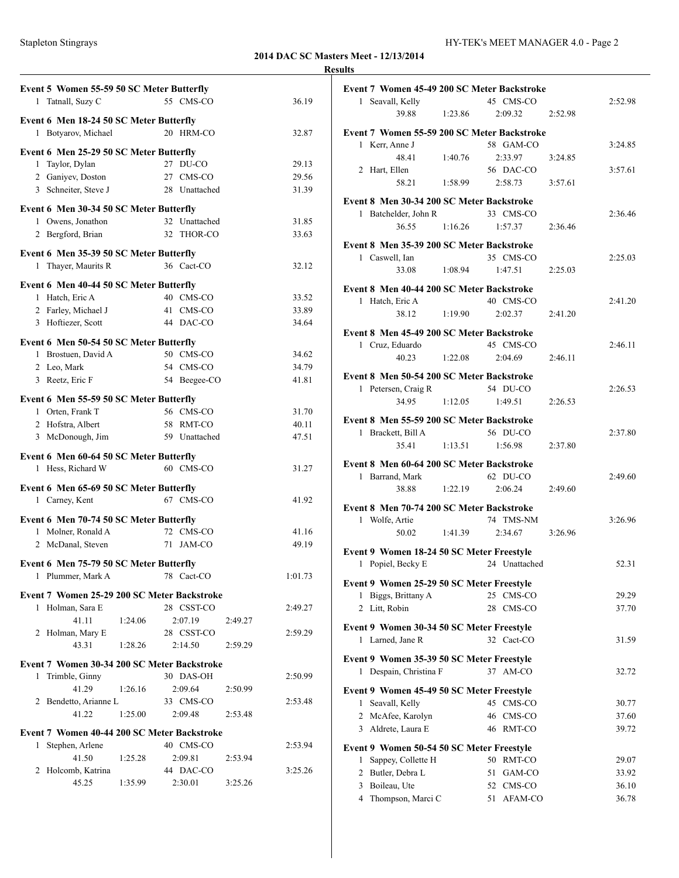|              |                                             |         |                           |         |         | <b>Results</b> |
|--------------|---------------------------------------------|---------|---------------------------|---------|---------|----------------|
|              | Event 5 Women 55-59 50 SC Meter Butterfly   |         |                           |         |         | Ev             |
|              | 1 Tatnall, Suzy C                           |         | 55 CMS-CO                 |         | 36.19   |                |
|              | Event 6 Men 18-24 50 SC Meter Butterfly     |         |                           |         |         |                |
|              | 1 Botyarov, Michael                         |         | 20 HRM-CO                 |         | 32.87   | Ev             |
|              | Event 6 Men 25-29 50 SC Meter Butterfly     |         |                           |         |         |                |
| 1            | Taylor, Dylan                               |         | 27 DU-CO                  |         | 29.13   |                |
|              | 2 Ganiyev, Doston                           |         | 27 CMS-CO                 |         | 29.56   |                |
|              | 3 Schneiter, Steve J                        |         | 28 Unattached             |         | 31.39   |                |
|              |                                             |         |                           |         |         | Ev             |
|              | Event 6 Men 30-34 50 SC Meter Butterfly     |         |                           |         |         |                |
|              | 1 Owens, Jonathon                           |         | 32 Unattached             |         | 31.85   |                |
|              | 2 Bergford, Brian                           |         | 32 THOR-CO                |         | 33.63   | Ev             |
|              | Event 6 Men 35-39 50 SC Meter Butterfly     |         |                           |         |         |                |
|              | 1 Thayer, Maurits R                         |         | 36 Cact-CO                |         | 32.12   |                |
|              | Event 6 Men 40-44 50 SC Meter Butterfly     |         |                           |         |         |                |
|              | 1 Hatch, Eric A                             |         | 40 CMS-CO                 |         | 33.52   | Ev             |
|              | 2 Farley, Michael J                         |         | 41 CMS-CO                 |         | 33.89   |                |
|              | 3 Hoftiezer, Scott                          |         | 44 DAC-CO                 |         | 34.64   |                |
|              |                                             |         |                           |         |         | Ev             |
|              | Event 6 Men 50-54 50 SC Meter Butterfly     |         |                           |         |         |                |
|              | 1 Brostuen, David A                         |         | 50 CMS-CO                 |         | 34.62   |                |
|              | 2 Leo, Mark                                 |         | 54 CMS-CO<br>54 Beegee-CO |         | 34.79   | Ev             |
|              | 3 Reetz, Eric F                             |         |                           |         | 41.81   |                |
|              | Event 6 Men 55-59 50 SC Meter Butterfly     |         |                           |         |         |                |
|              | 1 Orten, Frank T                            |         | 56 CMS-CO                 |         | 31.70   |                |
|              | 2 Hofstra, Albert                           |         | 58 RMT-CO                 |         | 40.11   | Ev             |
|              | 3 McDonough, Jim                            |         | 59 Unattached             |         | 47.51   |                |
|              | Event 6 Men 60-64 50 SC Meter Butterfly     |         |                           |         |         |                |
|              | 1 Hess, Richard W                           |         | 60 CMS-CO                 |         | 31.27   | Ev             |
|              |                                             |         |                           |         |         |                |
|              | Event 6 Men 65-69 50 SC Meter Butterfly     |         |                           |         |         |                |
|              | 1 Carney, Kent                              |         | 67 CMS-CO                 |         | 41.92   | Ev             |
|              | Event 6 Men 70-74 50 SC Meter Butterfly     |         |                           |         |         |                |
|              | 1 Molner, Ronald A                          |         | 72 CMS-CO                 |         | 41.16   |                |
|              | 2 McDanal, Steven                           |         | 71 JAM-CO                 |         | 49.19   | Ev             |
|              | Event 6 Men 75-79 50 SC Meter Butterfly     |         |                           |         |         |                |
|              | 1 Plummer, Mark A                           |         | 78 Cact-CO                |         | 1:01.73 |                |
|              |                                             |         |                           |         |         | Ev             |
|              | Event 7 Women 25-29 200 SC Meter Backstroke |         |                           |         |         |                |
|              | 1 Holman, Sara E                            |         | 28 CSST-CO                |         | 2:49.27 |                |
|              | 41.11                                       | 1:24.06 | 2:07.19                   | 2:49.27 |         | Ev             |
|              | 2 Holman, Mary E                            |         | 28 CSST-CO                |         | 2:59.29 |                |
|              | 43.31                                       | 1:28.26 | 2:14.50                   | 2:59.29 |         |                |
|              | Event 7 Women 30-34 200 SC Meter Backstroke |         |                           |         |         | Ev             |
| $\mathbf{1}$ | Trimble, Ginny                              |         | 30 DAS-OH                 |         | 2:50.99 |                |
|              | 41.29                                       | 1:26.16 | 2:09.64                   | 2:50.99 |         | Ev             |
|              | 2 Bendetto, Arianne L                       |         | 33 CMS-CO                 |         | 2:53.48 |                |
|              | 41.22                                       | 1:25.00 | 2:09.48                   | 2:53.48 |         |                |
|              | Event 7 Women 40-44 200 SC Meter Backstroke |         |                           |         |         |                |
|              | 1 Stephen, Arlene                           |         | 40 CMS-CO                 |         | 2:53.94 | Ev             |
|              | 41.50                                       | 1:25.28 | 2:09.81                   | 2:53.94 |         |                |
|              | 2 Holcomb, Katrina                          |         | 44 DAC-CO                 |         | 3:25.26 |                |
|              | 45.25                                       | 1:35.99 | 2:30.01                   | 3:25.26 |         |                |

| Event 7 Women 45-49 200 SC Meter Backstroke |                      |         |
|---------------------------------------------|----------------------|---------|
| 1 Seavall, Kelly                            | 45 CMS-CO            | 2:52.98 |
| 1:23.86<br>39.88                            | 2:09.32<br>2:52.98   |         |
| Event 7 Women 55-59 200 SC Meter Backstroke |                      |         |
| 1 Kerr, Anne J                              | 58 GAM-CO            | 3:24.85 |
| 48.41<br>1:40.76                            | 2:33.97              |         |
| 2 Hart, Ellen                               | 3:24.85<br>56 DAC-CO | 3:57.61 |
|                                             |                      |         |
| 58.21<br>1:58.99                            | 2:58.73<br>3:57.61   |         |
| Event 8 Men 30-34 200 SC Meter Backstroke   |                      |         |
| 1 Batchelder, John R                        | 33 CMS-CO            | 2:36.46 |
| 36.55<br>1:16.26                            | 1:57.37<br>2:36.46   |         |
| Event 8 Men 35-39 200 SC Meter Backstroke   |                      |         |
| 1 Caswell, Ian                              | 35 CMS-CO            | 2:25.03 |
| 1:08.94<br>33.08                            | 1:47.51<br>2:25.03   |         |
|                                             |                      |         |
| Event 8 Men 40-44 200 SC Meter Backstroke   |                      |         |
| 1 Hatch, Eric A                             | 40 CMS-CO            | 2:41.20 |
| 38.12<br>1:19.90                            | 2:02.37<br>2:41.20   |         |
| Event 8 Men 45-49 200 SC Meter Backstroke   |                      |         |
| 1 Cruz, Eduardo                             | 45 CMS-CO            | 2:46.11 |
| 40.23<br>1:22.08                            | 2:04.69<br>2:46.11   |         |
|                                             |                      |         |
| Event 8 Men 50-54 200 SC Meter Backstroke   |                      |         |
| 1 Petersen, Craig R                         | 54 DU-CO             | 2:26.53 |
| 34.95<br>1:12.05                            | 1:49.51<br>2:26.53   |         |
|                                             |                      |         |
| Event 8 Men 55-59 200 SC Meter Backstroke   |                      |         |
| 1 Brackett, Bill A                          | 56 DU-CO             | 2:37.80 |
| 35.41<br>1:13.51                            | 1:56.98<br>2:37.80   |         |
| Event 8 Men 60-64 200 SC Meter Backstroke   |                      |         |
| 1 Barrand, Mark                             | 62 DU-CO             | 2:49.60 |
| 1:22.19<br>38.88                            | 2:06.24<br>2:49.60   |         |
|                                             |                      |         |
| Event 8 Men 70-74 200 SC Meter Backstroke   |                      |         |
| 1 Wolfe, Artie                              | 74 TMS-NM            | 3:26.96 |
| 1:41.39<br>50.02                            | 2:34.67<br>3:26.96   |         |
| Event 9 Women 18-24 50 SC Meter Freestyle   |                      |         |
| 1 Popiel, Becky E                           | 24 Unattached        | 52.31   |
|                                             |                      |         |
| Event 9 Women 25-29 50 SC Meter Freestyle   |                      |         |
| Biggs, Brittany A<br>1                      | 25<br>CMS-CO         | 29.29   |
| 2 Litt, Robin                               | 28<br>CMS-CO         | 37.70   |
| Event 9 Women 30-34 50 SC Meter Freestyle   |                      |         |
| 1 Larned, Jane R                            | 32 Cact-CO           | 31.59   |
|                                             |                      |         |
| Event 9 Women 35-39 50 SC Meter Freestyle   |                      |         |
| 1 Despain, Christina F                      | 37 AM-CO             | 32.72   |
| Event 9 Women 45-49 50 SC Meter Freestyle   |                      |         |
| Seavall, Kelly<br>1                         | 45 CMS-CO            | 30.77   |
| 2 McAfee, Karolyn                           | 46 CMS-CO            | 37.60   |
| 3 Aldrete, Laura E                          | 46 RMT-CO            |         |
|                                             |                      | 39.72   |
| Event 9 Women 50-54 50 SC Meter Freestyle   |                      |         |
| 1<br>Sappey, Collette H                     | 50 RMT-CO            | 29.07   |
| 2 Butler, Debra L                           | 51<br>GAM-CO         | 33.92   |
| Boileau, Ute<br>3                           | 52 CMS-CO            | 36.10   |
| Thompson, Marci C<br>$\overline{4}$         | 51<br>AFAM-CO        | 36.78   |
|                                             |                      |         |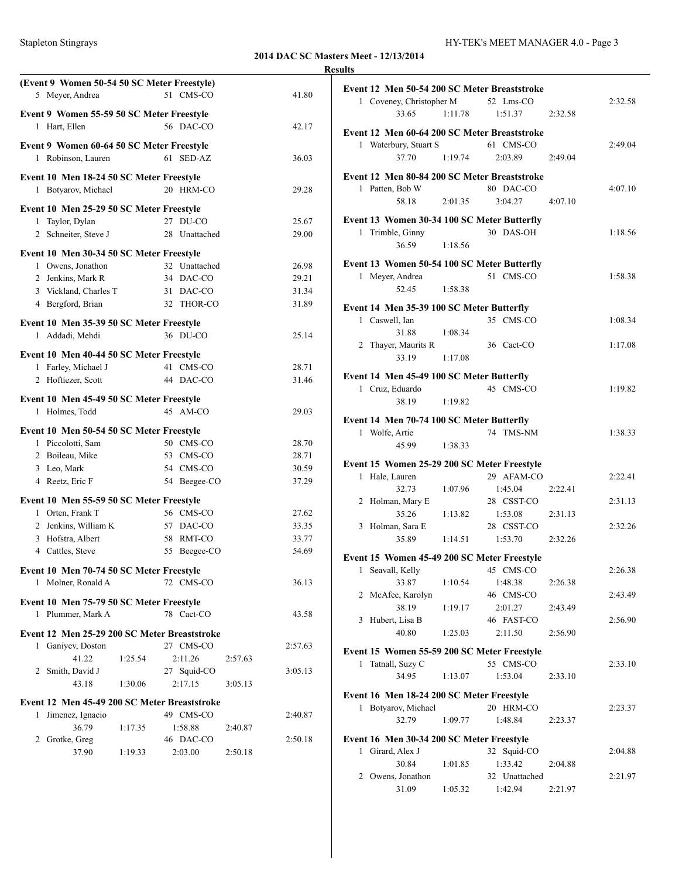### **Meet - 12/13/2014**

|   |                                                            |         |               |         | <b>2014 DAC SC Masters M</b> | <b>Results</b> |
|---|------------------------------------------------------------|---------|---------------|---------|------------------------------|----------------|
|   | (Event 9 Women 50-54 50 SC Meter Freestyle)                |         |               |         |                              |                |
|   | 5 Meyer, Andrea                                            |         | 51 CMS-CO     |         | 41.80                        | Eve            |
|   |                                                            |         |               |         |                              |                |
|   | Event 9 Women 55-59 50 SC Meter Freestyle<br>1 Hart, Ellen |         | 56 DAC-CO     |         | 42.17                        |                |
|   |                                                            |         |               |         |                              | Eve            |
|   | Event 9 Women 60-64 50 SC Meter Freestyle                  |         |               |         |                              |                |
|   | 1 Robinson, Lauren                                         |         | 61 SED-AZ     |         | 36.03                        |                |
|   | Event 10 Men 18-24 50 SC Meter Freestyle                   |         |               |         |                              | Eve            |
|   | 1 Botyarov, Michael                                        |         | 20 HRM-CO     |         | 29.28                        |                |
|   |                                                            |         |               |         |                              |                |
|   | Event 10 Men 25-29 50 SC Meter Freestyle                   |         |               |         |                              |                |
| 1 | Taylor, Dylan                                              |         | 27 DU-CO      |         | 25.67                        | Eve            |
|   | 2 Schneiter, Steve J                                       |         | 28 Unattached |         | 29.00                        |                |
|   | Event 10 Men 30-34 50 SC Meter Freestyle                   |         |               |         |                              |                |
|   | 1 Owens, Jonathon                                          |         | 32 Unattached |         | 26.98                        | Eve            |
|   | 2 Jenkins, Mark R                                          |         | 34 DAC-CO     |         | 29.21                        |                |
|   | 3 Vickland, Charles T                                      |         | 31 DAC-CO     |         | 31.34                        |                |
|   | 4 Bergford, Brian                                          |         | 32 THOR-CO    |         | 31.89                        | Eve            |
|   |                                                            |         |               |         |                              |                |
|   | Event 10 Men 35-39 50 SC Meter Freestyle                   |         |               |         |                              |                |
|   | 1 Addadi, Mehdi                                            |         | 36 DU-CO      |         | 25.14                        |                |
|   | Event 10 Men 40-44 50 SC Meter Freestyle                   |         |               |         |                              |                |
|   | 1 Farley, Michael J                                        |         | 41 CMS-CO     |         | 28.71                        |                |
|   | 2 Hoftiezer, Scott                                         |         | 44 DAC-CO     |         | 31.46                        | Eve            |
|   |                                                            |         |               |         |                              |                |
|   | Event 10 Men 45-49 50 SC Meter Freestyle                   |         | 45 AM-CO      |         | 29.03                        |                |
| 1 | Holmes, Todd                                               |         |               |         |                              | Eve            |
|   | Event 10 Men 50-54 50 SC Meter Freestyle                   |         |               |         |                              |                |
|   | 1 Piccolotti, Sam                                          |         | 50 CMS-CO     |         | 28.70                        |                |
|   | 2 Boileau, Mike                                            |         | 53 CMS-CO     |         | 28.71                        |                |
|   | 3 Leo, Mark                                                |         | 54 CMS-CO     |         | 30.59                        | Eve            |
|   | 4 Reetz, Eric F                                            |         | 54 Beegee-CO  |         | 37.29                        |                |
|   | Event 10 Men 55-59 50 SC Meter Freestyle                   |         |               |         |                              |                |
|   | 1 Orten, Frank T                                           |         | 56 CMS-CO     |         | 27.62                        |                |
|   | 2 Jenkins, William K                                       |         | 57 DAC-CO     |         | 33.35                        |                |
|   | 3 Hofstra, Albert                                          |         | 58 RMT-CO     |         | 33.77                        |                |
|   | 4 Cattles, Steve                                           |         | 55 Beegee-CO  |         | 54.69                        |                |
|   |                                                            |         |               |         |                              | Eve            |
|   | Event 10 Men 70-74 50 SC Meter Freestyle                   |         |               |         |                              |                |
|   | 1 Molner, Ronald A                                         |         | 72 CMS-CO     |         | 36.13                        |                |
|   | Event 10 Men 75-79 50 SC Meter Freestyle                   |         |               |         |                              |                |
|   | 1 Plummer, Mark A                                          |         | 78 Cact-CO    |         | 43.58                        |                |
|   |                                                            |         |               |         |                              |                |
|   | Event 12 Men 25-29 200 SC Meter Breaststroke               |         |               |         |                              |                |
|   | 1 Ganiyev, Doston                                          |         | 27 CMS-CO     |         | 2:57.63                      | Eve            |
|   | 41.22                                                      | 1:25.54 | 2:11.26       | 2:57.63 |                              |                |
|   | 2 Smith, David J                                           |         | 27 Squid-CO   |         | 3:05.13                      |                |
|   | 43.18                                                      | 1:30.06 | 2:17.15       | 3:05.13 |                              |                |
|   | Event 12 Men 45-49 200 SC Meter Breaststroke               |         |               |         |                              | Eve            |
| 1 | Jimenez, Ignacio                                           |         | 49 CMS-CO     |         | 2:40.87                      |                |
|   | 36.79                                                      | 1:17.35 | 1:58.88       | 2:40.87 |                              |                |
|   | 2 Grotke, Greg                                             |         | 46 DAC-CO     |         | 2:50.18                      | Eve            |

37.90 1:19.33 2:03.00 2:50.18

|              | Event 12 Men 50-54 200 SC Meter Breaststroke |         |                          |         |         |
|--------------|----------------------------------------------|---------|--------------------------|---------|---------|
|              | 1 Coveney, Christopher M                     |         | 52 Lms-CO                |         | 2:32.58 |
|              | 33.65                                        | 1:11.78 | 1:51.37                  | 2:32.58 |         |
|              |                                              |         |                          |         |         |
|              | Event 12 Men 60-64 200 SC Meter Breaststroke |         |                          |         |         |
|              | 1 Waterbury, Stuart S                        |         | 61 CMS-CO                |         | 2:49.04 |
|              | 37.70                                        | 1:19.74 | 2:03.89                  | 2:49.04 |         |
|              | Event 12 Men 80-84 200 SC Meter Breaststroke |         |                          |         |         |
|              | 1 Patten, Bob W                              |         | 80 DAC-CO                |         | 4:07.10 |
|              | 58.18                                        | 2:01.35 | 3:04.27                  | 4:07.10 |         |
|              | Event 13 Women 30-34 100 SC Meter Butterfly  |         |                          |         |         |
|              | 1 Trimble, Ginny                             |         | 30 DAS-OH                |         | 1:18.56 |
|              | 36.59                                        | 1:18.56 |                          |         |         |
|              |                                              |         |                          |         |         |
|              | Event 13 Women 50-54 100 SC Meter Butterfly  |         |                          |         |         |
|              | 1 Meyer, Andrea                              |         | 51 CMS-CO                |         | 1:58.38 |
|              | 52.45                                        | 1:58.38 |                          |         |         |
|              | Event 14 Men 35-39 100 SC Meter Butterfly    |         |                          |         |         |
|              | 1 Caswell, Ian                               |         | 35 CMS-CO                |         | 1:08.34 |
|              | 31.88                                        | 1:08.34 |                          |         |         |
|              | 2 Thayer, Maurits R                          |         | 36 Cact-CO               |         | 1:17.08 |
|              | 33.19                                        | 1:17.08 |                          |         |         |
|              | Event 14 Men 45-49 100 SC Meter Butterfly    |         |                          |         |         |
|              | 1 Cruz, Eduardo                              |         | 45 CMS-CO                |         | 1:19.82 |
|              | 38.19                                        | 1:19.82 |                          |         |         |
|              |                                              |         |                          |         |         |
|              | Event 14 Men 70-74 100 SC Meter Butterfly    |         | 74 TMS-NM                |         |         |
|              | 1 Wolfe, Artie<br>45.99                      | 1:38.33 |                          |         | 1:38.33 |
|              |                                              |         |                          |         |         |
|              | Event 15 Women 25-29 200 SC Meter Freestyle  |         |                          |         |         |
| 1            | Hale, Lauren                                 |         | 29 AFAM-CO               |         | 2:22.41 |
|              | 32.73                                        | 1:07.96 | 1:45.04                  | 2:22.41 |         |
|              | 2 Holman, Mary E                             |         | 28 CSST-CO               |         | 2:31.13 |
|              | 35.26                                        | 1:13.82 | 1:53.08                  | 2:31.13 |         |
|              | 3 Holman, Sara E                             |         | 28 CSST-CO               |         | 2:32.26 |
|              | 35.89                                        | 1:14.51 | 1:53.70                  | 2:32.26 |         |
|              | Event 15 Women 45-49 200 SC Meter Freestyle  |         |                          |         |         |
|              | Seavall, Kelly                               |         |                          |         |         |
| 1            |                                              |         | 45 CMS-CO                |         | 2:26.38 |
|              | 33.87                                        | 1:10.54 | 1:48.38                  | 2:26.38 |         |
|              | 2 McAfee, Karolyn                            |         | 46 CMS-CO                |         | 2:43.49 |
|              | 38.19                                        | 1:19.17 | 2:01.27                  | 2:43.49 |         |
| 3            | Hubert, Lisa B                               |         | 46 FAST-CO               |         | 2:56.90 |
|              | 40.80                                        | 1:25.03 | 2:11.50                  | 2:56.90 |         |
|              | Event 15 Women 55-59 200 SC Meter Freestyle  |         |                          |         |         |
| 1            | Tatnall, Suzy C                              |         | 55 CMS-CO                |         | 2:33.10 |
|              | 34.95                                        | 1:13.07 | 1:53.04                  | 2:33.10 |         |
|              |                                              |         |                          |         |         |
|              | Event 16 Men 18-24 200 SC Meter Freestyle    |         |                          |         |         |
|              | 1 Botyarov, Michael                          |         | 20 HRM-CO                |         | 2:23.37 |
|              | 32.79                                        | 1:09.77 | 1:48.84                  | 2:23.37 |         |
|              | Event 16 Men 30-34 200 SC Meter Freestyle    |         |                          |         |         |
| $\mathbf{1}$ | Girard, Alex J                               |         | 32 Squid-CO              |         | 2:04.88 |
|              | 30.84                                        | 1:01.85 | 1:33.42                  | 2:04.88 |         |
|              | 2 Owens, Jonathon<br>31.09                   | 1:05.32 | 32 Unattached<br>1:42.94 | 2:21.97 | 2:21.97 |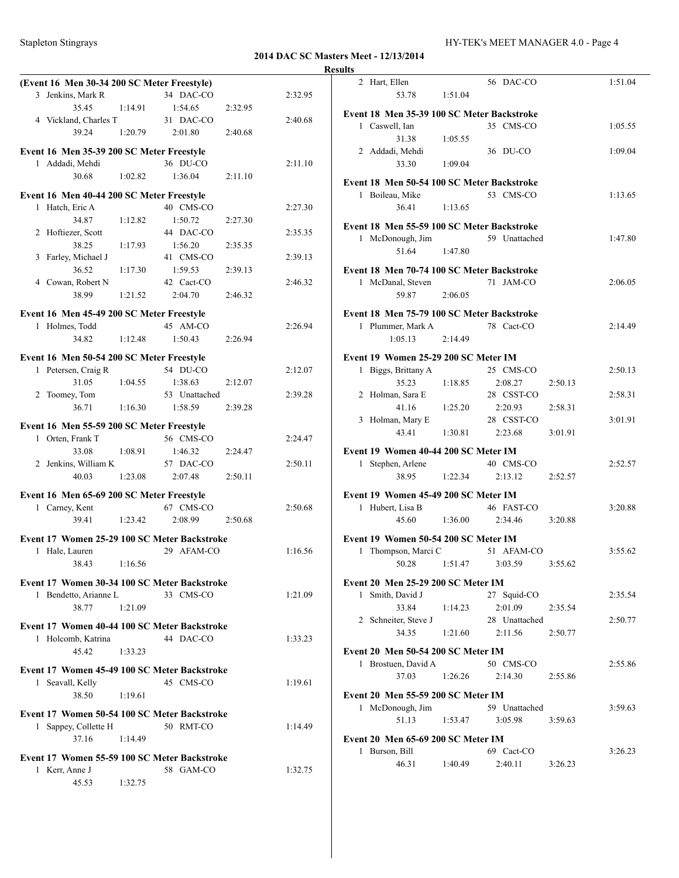| (Event 16 Men 30-34 200 SC Meter Freestyle)                 |         |               |         |         |
|-------------------------------------------------------------|---------|---------------|---------|---------|
| 3 Jenkins, Mark R                                           |         | 34 DAC-CO     |         | 2:32.95 |
| 35.45                                                       | 1:14.91 | 1:54.65       | 2:32.95 |         |
| 4 Vickland, Charles T                                       |         | 31 DAC-CO     |         | 2:40.68 |
| 39.24                                                       | 1:20.79 | 2:01.80       | 2:40.68 |         |
| Event 16 Men 35-39 200 SC Meter Freestyle                   |         |               |         |         |
| 1 Addadi, Mehdi                                             |         | 36 DU-CO      |         | 2:11.10 |
| 30.68                                                       | 1:02.82 | 1:36.04       | 2:11.10 |         |
|                                                             |         |               |         |         |
| Event 16 Men 40-44 200 SC Meter Freestyle                   |         |               |         |         |
| 1 Hatch, Eric A                                             |         | 40 CMS-CO     |         | 2:27.30 |
| 34.87                                                       | 1:12.82 | 1:50.72       | 2:27.30 |         |
| 2 Hoftiezer, Scott                                          |         | 44 DAC-CO     |         | 2:35.35 |
| 38.25                                                       | 1:17.93 | 1:56.20       | 2:35.35 |         |
| 3 Farley, Michael J                                         |         | 41 CMS-CO     |         | 2:39.13 |
| 36.52                                                       | 1:17.30 | 1:59.53       | 2:39.13 |         |
| 4 Cowan, Robert N                                           |         | 42 Cact-CO    |         | 2:46.32 |
| 38.99                                                       | 1:21.52 | 2:04.70       | 2:46.32 |         |
| Event 16 Men 45-49 200 SC Meter Freestyle                   |         |               |         |         |
| 1 Holmes, Todd                                              |         | 45 AM-CO      |         | 2:26.94 |
| 34.82                                                       | 1:12.48 | 1:50.43       | 2:26.94 |         |
|                                                             |         |               |         |         |
| Event 16 Men 50-54 200 SC Meter Freestyle                   |         |               |         |         |
| 1 Petersen, Craig R                                         |         | 54 DU-CO      |         | 2:12.07 |
| 31.05                                                       | 1:04.55 | 1:38.63       | 2:12.07 |         |
| 2 Toomey, Tom                                               |         | 53 Unattached |         | 2:39.28 |
| 36.71                                                       | 1:16.30 | 1:58.59       | 2:39.28 |         |
| Event 16 Men 55-59 200 SC Meter Freestyle                   |         |               |         |         |
| 1 Orten, Frank T                                            |         | 56 CMS-CO     |         | 2:24.47 |
| 33.08                                                       | 1:08.91 | 1:46.32       | 2:24.47 |         |
| 2 Jenkins, William K                                        |         | 57 DAC-CO     |         | 2:50.11 |
| 40.03                                                       | 1:23.08 | 2:07.48       | 2:50.11 |         |
|                                                             |         |               |         |         |
| Event 16 Men 65-69 200 SC Meter Freestyle<br>1 Carney, Kent |         | 67 CMS-CO     |         | 2:50.68 |
| 39.41                                                       | 1:23.42 | 2:08.99       | 2:50.68 |         |
|                                                             |         |               |         |         |
| Event 17 Women 25-29 100 SC Meter Backstroke                |         |               |         |         |
| Hale, Lauren<br>1.                                          |         | 29 AFAM-CO    |         | 1:16.56 |
| 38.43                                                       | 1:16.56 |               |         |         |
| Event 17 Women 30-34 100 SC Meter Backstroke                |         |               |         |         |
| 1 Bendetto, Arianne L                                       |         | 33 CMS-CO     |         | 1:21.09 |
| 38.77                                                       | 1:21.09 |               |         |         |
|                                                             |         |               |         |         |
| Event 17 Women 40-44 100 SC Meter Backstroke                |         |               |         |         |
| 1 Holcomb, Katrina                                          |         | 44 DAC-CO     |         | 1:33.23 |
| 45.42                                                       | 1:33.23 |               |         |         |
| Event 17 Women 45-49 100 SC Meter Backstroke                |         |               |         |         |
| 1 Seavall, Kelly                                            |         | 45 CMS-CO     |         | 1:19.61 |
| 38.50                                                       | 1:19.61 |               |         |         |
|                                                             |         |               |         |         |
| Event 17 Women 50-54 100 SC Meter Backstroke                |         |               |         |         |
| 1 Sappey, Collette H                                        |         | 50 RMT-CO     |         | 1:14.49 |
| 37.16                                                       | 1:14.49 |               |         |         |
| Event 17 Women 55-59 100 SC Meter Backstroke                |         |               |         |         |
| 1 Kerr, Anne J                                              |         | 58 GAM-CO     |         | 1:32.75 |
| 45.53                                                       | 1:32.75 |               |         |         |

| <b>Results</b>                             |                                                |
|--------------------------------------------|------------------------------------------------|
| 2 Hart, Ellen<br>53.78<br>1:51.04          | 56 DAC-CO<br>1:51.04                           |
| Event 18 Men 35-39 100 SC Meter Backstroke |                                                |
| 1 Caswell, Ian<br>31.38                    | 35 CMS-CO<br>1:05.55                           |
| 1:05.55<br>2 Addadi, Mehdi                 | 36 DU-CO<br>1:09.04                            |
| 33.30<br>1:09.04                           |                                                |
| Event 18 Men 50-54 100 SC Meter Backstroke | 53 CMS-CO                                      |
| 1 Boileau, Mike<br>36.41<br>1:13.65        | 1:13.65                                        |
| Event 18 Men 55-59 100 SC Meter Backstroke |                                                |
| 1 McDonough, Jim                           | 59 Unattached<br>1:47.80                       |
| 51.64<br>1:47.80                           |                                                |
| Event 18 Men 70-74 100 SC Meter Backstroke |                                                |
| 1 McDanal, Steven                          | 71 JAM-CO<br>2:06.05                           |
| 59.87<br>2:06.05                           |                                                |
| Event 18 Men 75-79 100 SC Meter Backstroke |                                                |
| 1 Plummer, Mark A<br>1:05.13<br>2:14.49    | 78 Cact-CO<br>2:14.49                          |
|                                            |                                                |
| Event 19 Women 25-29 200 SC Meter IM       |                                                |
| 1 Biggs, Brittany A<br>35.23<br>1:18.85    | 25 CMS-CO<br>2:50.13<br>2:08.27<br>2:50.13     |
| 2 Holman, Sara E                           | 28 CSST-CO<br>2:58.31                          |
| 41.16<br>1:25.20                           | 2:20.93<br>2:58.31                             |
| 3 Holman, Mary E                           | 28 CSST-CO<br>3:01.91                          |
| 43.41<br>1:30.81                           | 2:23.68<br>3:01.91                             |
| Event 19 Women 40-44 200 SC Meter IM       |                                                |
| 1 Stephen, Arlene                          | 40 CMS-CO<br>2:52.57                           |
| 38.95<br>1:22.34                           | 2:52.57<br>2:13.12                             |
| Event 19 Women 45-49 200 SC Meter IM       |                                                |
| 1 Hubert, Lisa B                           | 46 FAST-CO<br>3:20.88                          |
| 45.60<br>1:36.00                           | 2:34.46<br>3:20.88                             |
| Event 19 Women 50-54 200 SC Meter IM       |                                                |
| 1 Thompson, Marci C                        | 51 AFAM-CO<br>3:55.62                          |
| 1:51.47<br>50.28                           | 3:55.62<br>3:03.59                             |
| Event 20 Men 25-29 200 SC Meter IM         |                                                |
| Smith, David J<br>$\mathbf{1}$             | 27 Squid-CO<br>2:35.54                         |
| 33.84<br>1:14.23                           | 2:01.09<br>2:35.54                             |
| 2 Schneiter, Steve J<br>34.35<br>1:21.60   | 28 Unattached<br>2:50.77<br>2:11.56<br>2:50.77 |
|                                            |                                                |
| Event 20 Men 50-54 200 SC Meter IM         |                                                |
| 1 Brostuen, David A<br>37.03<br>1:26.26    | 50 CMS-CO<br>2:55.86<br>2:14.30<br>2:55.86     |
|                                            |                                                |
| <b>Event 20 Men 55-59 200 SC Meter IM</b>  |                                                |
| 1 McDonough, Jim<br>51.13<br>1:53.47       | 59 Unattached<br>3:59.63<br>3:05.98<br>3:59.63 |
|                                            |                                                |
| Event 20 Men 65-69 200 SC Meter IM         |                                                |
| 1 Burson, Bill<br>46.31<br>1:40.49         | 69 Cact-CO<br>3:26.23<br>2:40.11<br>3:26.23    |
|                                            |                                                |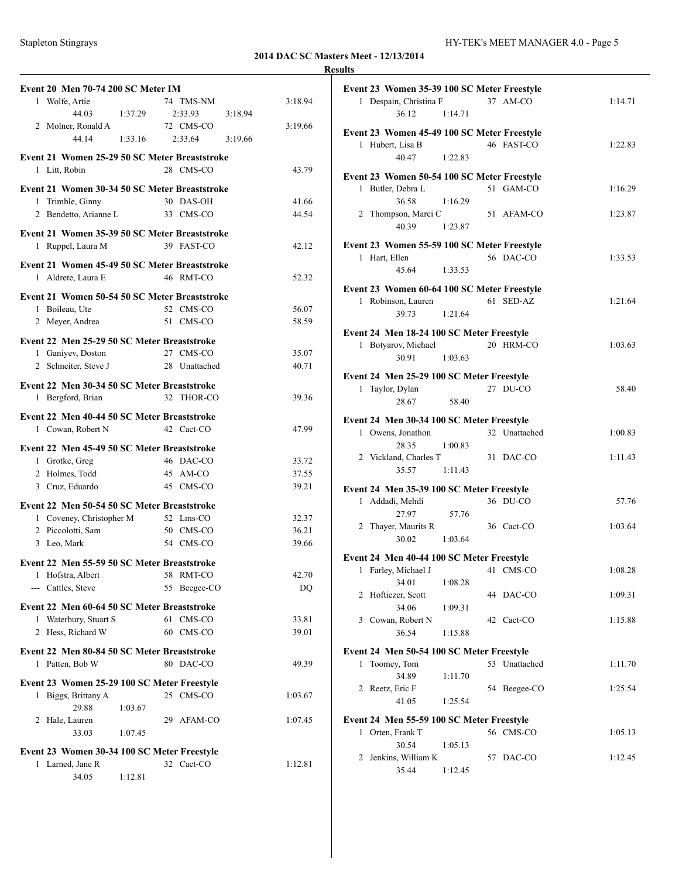### **2014 DAC SC Masters Meet - 12/13/2014 Results**

| <b>Event 20 Men 70-74 200 SC Meter IM</b>                          |         |                           |         |             |
|--------------------------------------------------------------------|---------|---------------------------|---------|-------------|
| 1 Wolfe, Artie                                                     |         | 74 TMS-NM                 |         | 3:18.94     |
| 44.03                                                              | 1:37.29 | 2:33.93                   | 3:18.94 |             |
| 2 Molner, Ronald A                                                 |         | 72 CMS-CO                 |         | 3:19.66     |
| 44.14                                                              | 1:33.16 | 2:33.64                   | 3:19.66 |             |
| Event 21 Women 25-29 50 SC Meter Breaststroke                      |         |                           |         |             |
| 1 Litt, Robin                                                      |         | 28 CMS-CO                 |         | 43.79       |
| Event 21 Women 30-34 50 SC Meter Breaststroke                      |         |                           |         |             |
| 1 Trimble, Ginny                                                   |         | 30 DAS-OH                 |         | 41.66       |
| 2 Bendetto, Arianne L                                              |         | 33 CMS-CO                 |         | 44.54       |
|                                                                    |         |                           |         |             |
| Event 21 Women 35-39 50 SC Meter Breaststroke<br>1 Ruppel, Laura M |         | 39 FAST-CO                |         | 42.12       |
|                                                                    |         |                           |         |             |
| Event 21 Women 45-49 50 SC Meter Breaststroke                      |         |                           |         |             |
| 1 Aldrete, Laura E                                                 |         | 46 RMT-CO                 |         | 52.32       |
| Event 21 Women 50-54 50 SC Meter Breaststroke                      |         |                           |         |             |
| 1 Boileau, Ute                                                     |         | 52 CMS-CO                 |         | 56.07       |
| 2 Meyer, Andrea                                                    |         | 51 CMS-CO                 |         | 58.59       |
| Event 22 Men 25-29 50 SC Meter Breaststroke                        |         |                           |         |             |
| 1 Ganiyev, Doston                                                  |         | 27 CMS-CO                 |         | 35.07       |
| 2 Schneiter, Steve J                                               |         | 28 Unattached             |         | 40.71       |
|                                                                    |         |                           |         |             |
| Event 22 Men 30-34 50 SC Meter Breaststroke                        |         |                           |         |             |
| 1 Bergford, Brian                                                  |         | 32 THOR-CO                |         | 39.36       |
| Event 22 Men 40-44 50 SC Meter Breaststroke                        |         |                           |         |             |
| 1 Cowan, Robert N                                                  |         | 42 Cact-CO                |         | 47.99       |
| Event 22 Men 45-49 50 SC Meter Breaststroke                        |         |                           |         |             |
| 1 Grotke, Greg                                                     |         | 46 DAC-CO                 |         | 33.72       |
| 2 Holmes, Todd                                                     |         | 45 AM-CO                  |         | 37.55       |
| 3 Cruz, Eduardo                                                    |         | 45 CMS-CO                 |         | 39.21       |
| Event 22 Men 50-54 50 SC Meter Breaststroke                        |         |                           |         |             |
| 1 Coveney, Christopher M                                           |         | 52 Lms-CO                 |         | 32.37       |
| 2 Piccolotti, Sam                                                  |         | 50 CMS-CO                 |         | 36.21       |
| 3 Leo, Mark                                                        |         | 54 CMS-CO                 |         | 39.66       |
|                                                                    |         |                           |         |             |
| Event 22 Men 55-59 50 SC Meter Breaststroke                        |         |                           |         |             |
| 1 Hofstra, Albert<br>--- Cattles, Steve                            |         | 58 RMT-CO<br>55 Beegee-CO |         | 42.70<br>DQ |
|                                                                    |         |                           |         |             |
| Event 22 Men 60-64 50 SC Meter Breaststroke                        |         |                           |         |             |
| 1 Waterbury, Stuart S                                              |         | 61 CMS-CO                 |         | 33.81       |
| 2 Hess, Richard W                                                  |         | 60 CMS-CO                 |         | 39.01       |
| Event 22 Men 80-84 50 SC Meter Breaststroke                        |         |                           |         |             |
| 1 Patten, Bob W                                                    |         | 80 DAC-CO                 |         | 49.39       |
| Event 23 Women 25-29 100 SC Meter Freestyle                        |         |                           |         |             |
| 1 Biggs, Brittany A                                                |         | 25 CMS-CO                 |         | 1:03.67     |
| 29.88                                                              | 1:03.67 |                           |         |             |
| 2 Hale, Lauren                                                     |         | 29 AFAM-CO                |         | 1:07.45     |
| 33.03                                                              | 1:07.45 |                           |         |             |
| Event 23 Women 30-34 100 SC Meter Freestyle                        |         |                           |         |             |
| 1 Larned, Jane R                                                   |         | 32 Cact-CO                |         | 1:12.81     |
| 34.05                                                              | 1:12.81 |                           |         |             |
|                                                                    |         |                           |         |             |

|   | Event 23 Women 35-39 100 SC Meter Freestyle |         |    |               |         |
|---|---------------------------------------------|---------|----|---------------|---------|
|   | 1 Despain, Christina F<br>36.12             | 1:14.71 |    | 37 AM-CO      | 1:14.71 |
|   | Event 23 Women 45-49 100 SC Meter Freestyle |         |    |               |         |
|   | 1 Hubert, Lisa B                            |         |    | 46 FAST-CO    | 1:22.83 |
|   | 40.47                                       | 1:22.83 |    |               |         |
|   |                                             |         |    |               |         |
|   | Event 23 Women 50-54 100 SC Meter Freestyle |         |    |               |         |
|   | 1 Butler, Debra L                           |         |    | 51 GAM-CO     | 1:16.29 |
|   | 36.58                                       | 1:16.29 |    |               |         |
|   | 2 Thompson, Marci C                         |         |    | 51 AFAM-CO    | 1:23.87 |
|   | 40.39                                       | 1:23.87 |    |               |         |
|   |                                             |         |    |               |         |
|   | Event 23 Women 55-59 100 SC Meter Freestyle |         |    | 56 DAC-CO     | 1:33.53 |
|   | 1 Hart, Ellen                               |         |    |               |         |
|   | 45.64                                       | 1:33.53 |    |               |         |
|   | Event 23 Women 60-64 100 SC Meter Freestyle |         |    |               |         |
|   | 1 Robinson, Lauren                          |         |    | 61 SED-AZ     | 1:21.64 |
|   | 39.73                                       | 1:21.64 |    |               |         |
|   |                                             |         |    |               |         |
|   | Event 24 Men 18-24 100 SC Meter Freestyle   |         |    |               |         |
|   | 1 Botyarov, Michael                         |         |    | 20 HRM-CO     | 1:03.63 |
|   | 30.91                                       | 1:03.63 |    |               |         |
|   | Event 24 Men 25-29 100 SC Meter Freestyle   |         |    |               |         |
|   | 1 Taylor, Dylan                             |         |    | 27 DU-CO      | 58.40   |
|   | 28.67                                       | 58.40   |    |               |         |
|   |                                             |         |    |               |         |
|   | Event 24 Men 30-34 100 SC Meter Freestyle   |         |    |               |         |
|   | 1 Owens, Jonathon                           |         |    | 32 Unattached | 1:00.83 |
|   | 28.35                                       | 1:00.83 |    |               |         |
|   | 2 Vickland, Charles T                       |         |    | 31 DAC-CO     | 1:11.43 |
|   | 35.57                                       | 1:11.43 |    |               |         |
|   |                                             |         |    |               |         |
|   | Event 24 Men 35-39 100 SC Meter Freestyle   |         |    |               |         |
|   | 1 Addadi, Mehdi                             |         |    | 36 DU-CO      | 57.76   |
|   | 27.97                                       | 57.76   |    |               |         |
|   | 2 Thayer, Maurits R                         |         |    | 36 Cact-CO    | 1:03.64 |
|   | 30.02                                       | 1:03.64 |    |               |         |
|   | Event 24 Men 40-44 100 SC Meter Freestyle   |         |    |               |         |
|   | 1 Farley, Michael J                         |         |    | 41 CMS-CO     | 1:08.28 |
|   | 34.01 1:08.28                               |         |    |               |         |
|   | 2 Hoftiezer, Scott                          |         |    | 44 DAC-CO     | 1:09.31 |
|   | 34.06                                       | 1:09.31 |    |               |         |
|   |                                             |         |    |               |         |
|   | 3 Cowan, Robert N                           |         |    | 42 Cact-CO    | 1:15.88 |
|   | 36.54                                       | 1:15.88 |    |               |         |
|   | Event 24 Men 50-54 100 SC Meter Freestyle   |         |    |               |         |
| 1 | Toomey, Tom                                 |         |    | 53 Unattached | 1:11.70 |
|   | 34.89                                       | 1:11.70 |    |               |         |
|   | 2 Reetz, Eric F                             |         |    | 54 Beegee-CO  | 1:25.54 |
|   | 41.05                                       | 1:25.54 |    |               |         |
|   |                                             |         |    |               |         |
|   | Event 24 Men 55-59 100 SC Meter Freestyle   |         |    |               |         |
|   | 1 Orten, Frank T                            |         |    | 56 CMS-CO     | 1:05.13 |
|   | 30.54                                       | 1:05.13 |    |               |         |
| 2 | Jenkins, William K                          |         | 57 | DAC-CO        | 1:12.45 |
|   | 35.44                                       | 1:12.45 |    |               |         |
|   |                                             |         |    |               |         |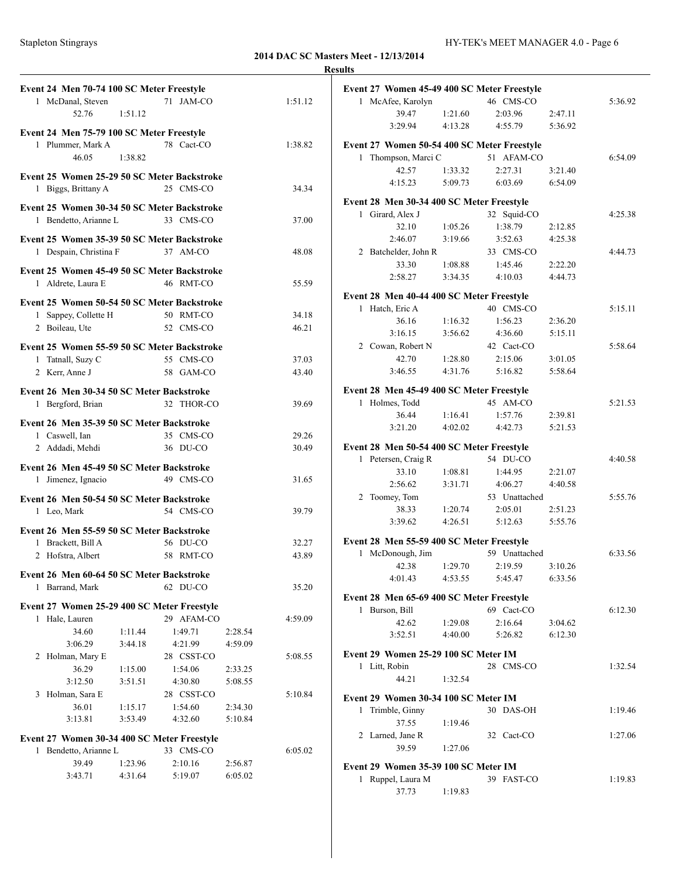|                                                                      |         |                       |         |         | <b>Results</b>                                            |                    |                    |                    |         |
|----------------------------------------------------------------------|---------|-----------------------|---------|---------|-----------------------------------------------------------|--------------------|--------------------|--------------------|---------|
| Event 24 Men 70-74 100 SC Meter Freestyle                            |         |                       |         |         | Event 27 Women 45-49 400 SC Meter Freestyle               |                    |                    |                    |         |
| 1 McDanal, Steven                                                    |         | 71 JAM-CO             |         | 1:51.12 | 1 McAfee, Karolyn                                         |                    | 46 CMS-CO          |                    | 5:36.92 |
| 52.76                                                                | 1:51.12 |                       |         |         | 39.47                                                     | 1:21.60            | 2:03.96            | 2:47.11            |         |
| Event 24 Men 75-79 100 SC Meter Freestyle                            |         |                       |         |         | 3:29.94                                                   | 4:13.28            | 4:55.79            | 5:36.92            |         |
| 1 Plummer, Mark A                                                    |         | 78 Cact-CO            |         | 1:38.82 | Event 27 Women 50-54 400 SC Meter Freestyle               |                    |                    |                    |         |
| 46.05                                                                | 1:38.82 |                       |         |         | 1 Thompson, Marci C                                       |                    | 51 AFAM-CO         |                    | 6:54.09 |
| Event 25 Women 25-29 50 SC Meter Backstroke                          |         |                       |         |         | 42.57                                                     | 1:33.32            | 2:27.31            | 3:21.40            |         |
| 1 Biggs, Brittany A                                                  |         | 25 CMS-CO             |         | 34.34   | 4:15.23                                                   | 5:09.73            | 6:03.69            | 6:54.09            |         |
|                                                                      |         |                       |         |         | Event 28 Men 30-34 400 SC Meter Freestyle                 |                    |                    |                    |         |
| Event 25 Women 30-34 50 SC Meter Backstroke                          |         |                       |         |         | 1 Girard, Alex J                                          |                    | 32 Squid-CO        |                    | 4:25.38 |
| 1 Bendetto, Arianne L                                                |         | 33 CMS-CO             |         | 37.00   | 32.10                                                     | 1:05.26            | 1:38.79            | 2:12.85            |         |
| Event 25 Women 35-39 50 SC Meter Backstroke                          |         |                       |         |         | 2:46.07                                                   | 3:19.66            | 3:52.63            | 4:25.38            |         |
| 1 Despain, Christina F                                               |         | 37 AM-CO              |         | 48.08   | 2 Batchelder, John R                                      |                    | 33 CMS-CO          |                    | 4:44.73 |
| Event 25 Women 45-49 50 SC Meter Backstroke                          |         |                       |         |         | 33.30                                                     | 1:08.88            | 1:45.46            | 2:22.20            |         |
| 1 Aldrete, Laura E                                                   |         | 46 RMT-CO             |         | 55.59   | 2:58.27                                                   | 3:34.35            | 4:10.03            | 4:44.73            |         |
|                                                                      |         |                       |         |         | Event 28 Men 40-44 400 SC Meter Freestyle                 |                    |                    |                    |         |
| Event 25 Women 50-54 50 SC Meter Backstroke                          |         |                       |         |         | 1 Hatch, Eric A                                           |                    | 40 CMS-CO          |                    | 5:15.11 |
| 1 Sappey, Collette H                                                 |         | 50 RMT-CO             |         | 34.18   | 36.16                                                     | 1:16.32            | 1:56.23            | 2:36.20            |         |
| 2 Boileau, Ute                                                       |         | 52 CMS-CO             |         | 46.21   | 3:16.15                                                   | 3:56.62            | 4:36.60            | 5:15.11            |         |
| Event 25 Women 55-59 50 SC Meter Backstroke                          |         |                       |         |         | 2 Cowan, Robert N                                         |                    | 42 Cact-CO         |                    | 5:58.64 |
| 1 Tatnall, Suzy C                                                    |         | 55 CMS-CO             |         | 37.03   | 42.70                                                     | 1:28.80            | 2:15.06            | 3:01.05            |         |
| 2 Kerr, Anne J                                                       |         | 58 GAM-CO             |         | 43.40   | 3:46.55                                                   | 4:31.76            | 5:16.82            | 5:58.64            |         |
|                                                                      |         |                       |         |         | Event 28 Men 45-49 400 SC Meter Freestyle                 |                    |                    |                    |         |
| Event 26 Men 30-34 50 SC Meter Backstroke<br>1 Bergford, Brian       |         | 32 THOR-CO            |         | 39.69   | 1 Holmes, Todd                                            |                    | 45 AM-CO           |                    | 5:21.53 |
|                                                                      |         |                       |         |         | 36.44                                                     | 1:16.41            | 1:57.76            | 2:39.81            |         |
| Event 26 Men 35-39 50 SC Meter Backstroke                            |         |                       |         |         | 3:21.20                                                   | 4:02.02            | 4:42.73            | 5:21.53            |         |
| 1 Caswell, Ian                                                       |         | 35 CMS-CO             |         | 29.26   |                                                           |                    |                    |                    |         |
| 2 Addadi, Mehdi                                                      |         | 36 DU-CO              |         | 30.49   | Event 28 Men 50-54 400 SC Meter Freestyle                 |                    |                    |                    |         |
| Event 26 Men 45-49 50 SC Meter Backstroke                            |         |                       |         |         | 1 Petersen, Craig R                                       |                    | 54 DU-CO           |                    | 4:40.58 |
| 1 Jimenez, Ignacio                                                   |         | 49 CMS-CO             |         | 31.65   | 33.10<br>2:56.62                                          | 1:08.81<br>3:31.71 | 1:44.95<br>4:06.27 | 2:21.07<br>4:40.58 |         |
|                                                                      |         |                       |         |         | 2 Toomey, Tom                                             |                    | 53 Unattached      |                    | 5:55.76 |
| Event 26 Men 50-54 50 SC Meter Backstroke<br>1 Leo, Mark             |         | 54 CMS-CO             |         | 39.79   | 38.33                                                     | 1:20.74            | 2:05.01            | 2:51.23            |         |
|                                                                      |         |                       |         |         | 3:39.62                                                   | 4:26.51            | 5:12.63            | 5:55.76            |         |
| Event 26 Men 55-59 50 SC Meter Backstroke                            |         |                       |         |         |                                                           |                    |                    |                    |         |
| 1 Brackett, Bill A                                                   |         | 56 DU-CO              |         | 32.27   | Event 28 Men 55-59 400 SC Meter Freestyle                 |                    |                    |                    |         |
| 2 Hofstra, Albert                                                    |         | 58 RMT-CO             |         | 43.89   | 1 McDonough, Jim                                          |                    | 59 Unattached      |                    | 6:33.56 |
| Event 26 Men 60-64 50 SC Meter Backstroke                            |         |                       |         |         | 42.38<br>4:01.43                                          | 1:29.70<br>4:53.55 | 2:19.59<br>5:45.47 | 3:10.26<br>6:33.56 |         |
| 1 Barrand, Mark                                                      |         | 62 DU-CO              |         | 35.20   |                                                           |                    |                    |                    |         |
|                                                                      |         |                       |         |         | Event 28 Men 65-69 400 SC Meter Freestyle                 |                    |                    |                    |         |
| Event 27 Women 25-29 400 SC Meter Freestyle                          |         |                       |         | 4:59.09 | 1 Burson, Bill                                            |                    | 69 Cact-CO         |                    | 6:12.30 |
| 1 Hale, Lauren<br>34.60                                              | 1:11.44 | 29 AFAM-CO<br>1:49.71 | 2:28.54 |         | 42.62                                                     | 1:29.08            | 2:16.64            | 3:04.62            |         |
| 3:06.29                                                              | 3:44.18 | 4:21.99               | 4:59.09 |         | 3:52.51                                                   | 4:40.00            | 5:26.82            | 6:12.30            |         |
| 2 Holman, Mary E                                                     |         | 28 CSST-CO            |         | 5:08.55 | Event 29 Women 25-29 100 SC Meter IM                      |                    |                    |                    |         |
| 36.29                                                                | 1:15.00 | 1:54.06               | 2:33.25 |         | 1 Litt, Robin                                             |                    | 28 CMS-CO          |                    | 1:32.54 |
| 3:12.50                                                              | 3:51.51 | 4:30.80               | 5:08.55 |         | 44.21                                                     | 1:32.54            |                    |                    |         |
| 3 Holman, Sara E                                                     |         | 28 CSST-CO            |         | 5:10.84 | Event 29 Women 30-34 100 SC Meter IM                      |                    |                    |                    |         |
| 36.01                                                                | 1:15.17 | 1:54.60               | 2:34.30 |         | 1 Trimble, Ginny                                          |                    | 30 DAS-OH          |                    | 1:19.46 |
| 3:13.81                                                              | 3:53.49 | 4:32.60               | 5:10.84 |         | 37.55                                                     | 1:19.46            |                    |                    |         |
|                                                                      |         |                       |         |         | 2 Larned, Jane R                                          |                    | 32 Cact-CO         |                    | 1:27.06 |
| Event 27 Women 30-34 400 SC Meter Freestyle<br>1 Bendetto, Arianne L |         | 33 CMS-CO             |         | 6:05.02 | 39.59                                                     | 1:27.06            |                    |                    |         |
| 39.49                                                                | 1:23.96 | 2:10.16               | 2:56.87 |         |                                                           |                    |                    |                    |         |
|                                                                      | 4:31.64 | 5:19.07               | 6:05.02 |         | Event 29 Women 35-39 100 SC Meter IM<br>1 Ruppel, Laura M |                    |                    |                    |         |
|                                                                      |         |                       |         |         |                                                           |                    | 39 FAST-CO         |                    | 1:19.83 |
| 3:43.71                                                              |         |                       |         |         | 37.73                                                     | 1:19.83            |                    |                    |         |